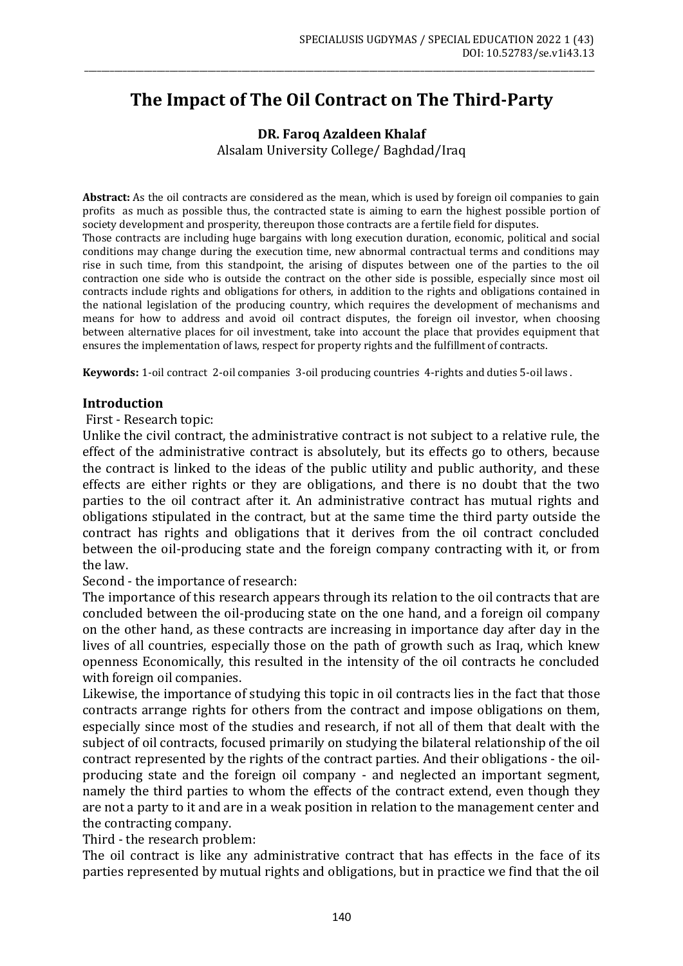# **The Impact of The Oil Contract on The Third-Party**

\_\_\_\_\_\_\_\_\_\_\_\_\_\_\_\_\_\_\_\_\_\_\_\_\_\_\_\_\_\_\_\_\_\_\_\_\_\_\_\_\_\_\_\_\_\_\_\_\_\_\_\_\_\_\_\_\_\_\_\_\_\_\_\_\_\_\_\_\_\_\_\_\_\_\_\_\_\_\_\_\_\_\_\_\_\_\_\_\_\_\_\_\_\_\_\_\_\_\_\_\_\_\_\_\_\_\_\_\_\_\_\_\_\_\_\_\_\_\_\_

**DR. Faroq Azaldeen Khalaf** Alsalam University College/ Baghdad/Iraq

**Abstract:** As the oil contracts are considered as the mean, which is used by foreign oil companies to gain profits as much as possible thus, the contracted state is aiming to earn the highest possible portion of society development and prosperity, thereupon those contracts are a fertile field for disputes.

Those contracts are including huge bargains with long execution duration, economic, political and social conditions may change during the execution time, new abnormal contractual terms and conditions may rise in such time, from this standpoint, the arising of disputes between one of the parties to the oil contraction one side who is outside the contract on the other side is possible, especially since most oil contracts include rights and obligations for others, in addition to the rights and obligations contained in the national legislation of the producing country, which requires the development of mechanisms and means for how to address and avoid oil contract disputes, the foreign oil investor, when choosing between alternative places for oil investment, take into account the place that provides equipment that ensures the implementation of laws, respect for property rights and the fulfillment of contracts.

**Keywords:** 1-oil contract 2-oil companies 3-oil producing countries 4-rights and duties 5-oil laws .

#### **Introduction**

First - Research topic:

Unlike the civil contract, the administrative contract is not subject to a relative rule, the effect of the administrative contract is absolutely, but its effects go to others, because the contract is linked to the ideas of the public utility and public authority, and these effects are either rights or they are obligations, and there is no doubt that the two parties to the oil contract after it. An administrative contract has mutual rights and obligations stipulated in the contract, but at the same time the third party outside the contract has rights and obligations that it derives from the oil contract concluded between the oil-producing state and the foreign company contracting with it, or from the law.

Second - the importance of research:

The importance of this research appears through its relation to the oil contracts that are concluded between the oil-producing state on the one hand, and a foreign oil company on the other hand, as these contracts are increasing in importance day after day in the lives of all countries, especially those on the path of growth such as Iraq, which knew openness Economically, this resulted in the intensity of the oil contracts he concluded with foreign oil companies.

Likewise, the importance of studying this topic in oil contracts lies in the fact that those contracts arrange rights for others from the contract and impose obligations on them, especially since most of the studies and research, if not all of them that dealt with the subject of oil contracts, focused primarily on studying the bilateral relationship of the oil contract represented by the rights of the contract parties. And their obligations - the oilproducing state and the foreign oil company - and neglected an important segment, namely the third parties to whom the effects of the contract extend, even though they are not a party to it and are in a weak position in relation to the management center and the contracting company.

Third - the research problem:

The oil contract is like any administrative contract that has effects in the face of its parties represented by mutual rights and obligations, but in practice we find that the oil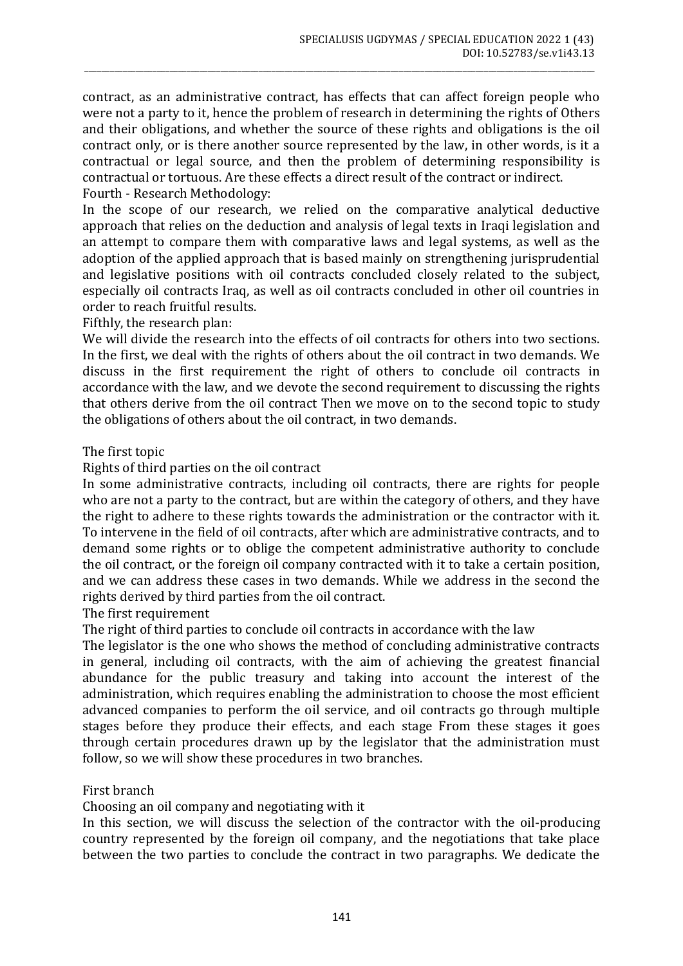contract, as an administrative contract, has effects that can affect foreign people who were not a party to it, hence the problem of research in determining the rights of Others and their obligations, and whether the source of these rights and obligations is the oil contract only, or is there another source represented by the law, in other words, is it a contractual or legal source, and then the problem of determining responsibility is contractual or tortuous. Are these effects a direct result of the contract or indirect. Fourth - Research Methodology:

\_\_\_\_\_\_\_\_\_\_\_\_\_\_\_\_\_\_\_\_\_\_\_\_\_\_\_\_\_\_\_\_\_\_\_\_\_\_\_\_\_\_\_\_\_\_\_\_\_\_\_\_\_\_\_\_\_\_\_\_\_\_\_\_\_\_\_\_\_\_\_\_\_\_\_\_\_\_\_\_\_\_\_\_\_\_\_\_\_\_\_\_\_\_\_\_\_\_\_\_\_\_\_\_\_\_\_\_\_\_\_\_\_\_\_\_\_\_\_\_

In the scope of our research, we relied on the comparative analytical deductive approach that relies on the deduction and analysis of legal texts in Iraqi legislation and an attempt to compare them with comparative laws and legal systems, as well as the adoption of the applied approach that is based mainly on strengthening jurisprudential and legislative positions with oil contracts concluded closely related to the subject, especially oil contracts Iraq, as well as oil contracts concluded in other oil countries in order to reach fruitful results.

Fifthly, the research plan:

We will divide the research into the effects of oil contracts for others into two sections. In the first, we deal with the rights of others about the oil contract in two demands. We discuss in the first requirement the right of others to conclude oil contracts in accordance with the law, and we devote the second requirement to discussing the rights that others derive from the oil contract Then we move on to the second topic to study the obligations of others about the oil contract, in two demands.

## The first topic

Rights of third parties on the oil contract

In some administrative contracts, including oil contracts, there are rights for people who are not a party to the contract, but are within the category of others, and they have the right to adhere to these rights towards the administration or the contractor with it. To intervene in the field of oil contracts, after which are administrative contracts, and to demand some rights or to oblige the competent administrative authority to conclude the oil contract, or the foreign oil company contracted with it to take a certain position, and we can address these cases in two demands. While we address in the second the rights derived by third parties from the oil contract.

The first requirement

The right of third parties to conclude oil contracts in accordance with the law

The legislator is the one who shows the method of concluding administrative contracts in general, including oil contracts, with the aim of achieving the greatest financial abundance for the public treasury and taking into account the interest of the administration, which requires enabling the administration to choose the most efficient advanced companies to perform the oil service, and oil contracts go through multiple stages before they produce their effects, and each stage From these stages it goes through certain procedures drawn up by the legislator that the administration must follow, so we will show these procedures in two branches.

# First branch

Choosing an oil company and negotiating with it

In this section, we will discuss the selection of the contractor with the oil-producing country represented by the foreign oil company, and the negotiations that take place between the two parties to conclude the contract in two paragraphs. We dedicate the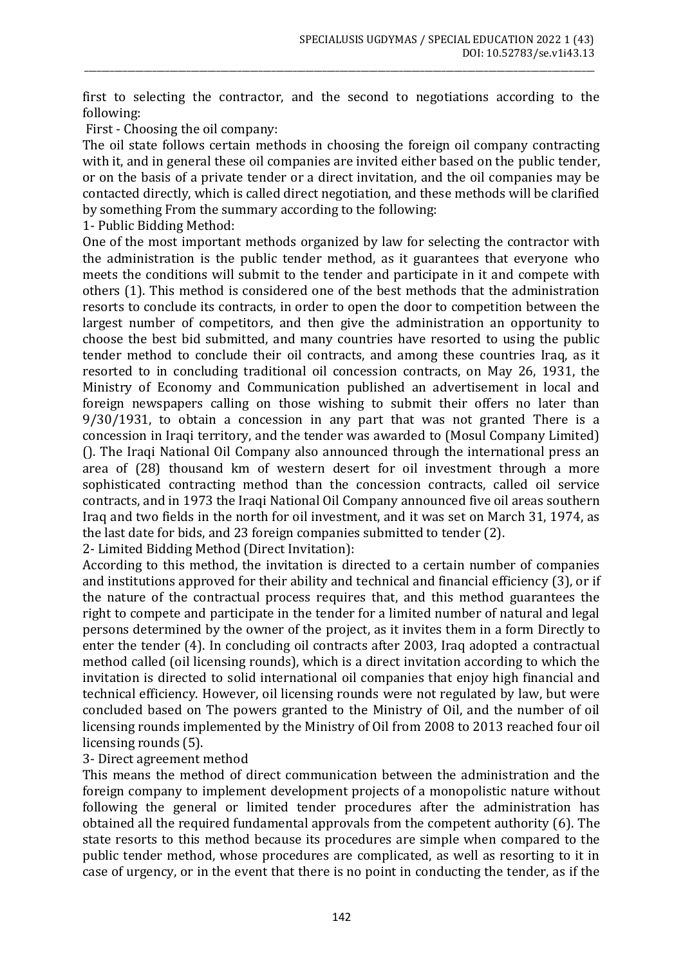first to selecting the contractor, and the second to negotiations according to the following:

\_\_\_\_\_\_\_\_\_\_\_\_\_\_\_\_\_\_\_\_\_\_\_\_\_\_\_\_\_\_\_\_\_\_\_\_\_\_\_\_\_\_\_\_\_\_\_\_\_\_\_\_\_\_\_\_\_\_\_\_\_\_\_\_\_\_\_\_\_\_\_\_\_\_\_\_\_\_\_\_\_\_\_\_\_\_\_\_\_\_\_\_\_\_\_\_\_\_\_\_\_\_\_\_\_\_\_\_\_\_\_\_\_\_\_\_\_\_\_\_

First - Choosing the oil company:

The oil state follows certain methods in choosing the foreign oil company contracting with it, and in general these oil companies are invited either based on the public tender, or on the basis of a private tender or a direct invitation, and the oil companies may be contacted directly, which is called direct negotiation, and these methods will be clarified by something From the summary according to the following:

1- Public Bidding Method:

One of the most important methods organized by law for selecting the contractor with the administration is the public tender method, as it guarantees that everyone who meets the conditions will submit to the tender and participate in it and compete with others (1). This method is considered one of the best methods that the administration resorts to conclude its contracts, in order to open the door to competition between the largest number of competitors, and then give the administration an opportunity to choose the best bid submitted, and many countries have resorted to using the public tender method to conclude their oil contracts, and among these countries Iraq, as it resorted to in concluding traditional oil concession contracts, on May 26, 1931, the Ministry of Economy and Communication published an advertisement in local and foreign newspapers calling on those wishing to submit their offers no later than 9/30/1931, to obtain a concession in any part that was not granted There is a concession in Iraqi territory, and the tender was awarded to (Mosul Company Limited) (). The Iraqi National Oil Company also announced through the international press an area of (28) thousand km of western desert for oil investment through a more sophisticated contracting method than the concession contracts, called oil service contracts, and in 1973 the Iraqi National Oil Company announced five oil areas southern Iraq and two fields in the north for oil investment, and it was set on March 31, 1974, as the last date for bids, and 23 foreign companies submitted to tender (2).

2- Limited Bidding Method (Direct Invitation):

According to this method, the invitation is directed to a certain number of companies and institutions approved for their ability and technical and financial efficiency (3), or if the nature of the contractual process requires that, and this method guarantees the right to compete and participate in the tender for a limited number of natural and legal persons determined by the owner of the project, as it invites them in a form Directly to enter the tender (4). In concluding oil contracts after 2003, Iraq adopted a contractual method called (oil licensing rounds), which is a direct invitation according to which the invitation is directed to solid international oil companies that enjoy high financial and technical efficiency. However, oil licensing rounds were not regulated by law, but were concluded based on The powers granted to the Ministry of Oil, and the number of oil licensing rounds implemented by the Ministry of Oil from 2008 to 2013 reached four oil licensing rounds (5).

#### 3- Direct agreement method

This means the method of direct communication between the administration and the foreign company to implement development projects of a monopolistic nature without following the general or limited tender procedures after the administration has obtained all the required fundamental approvals from the competent authority (6). The state resorts to this method because its procedures are simple when compared to the public tender method, whose procedures are complicated, as well as resorting to it in case of urgency, or in the event that there is no point in conducting the tender, as if the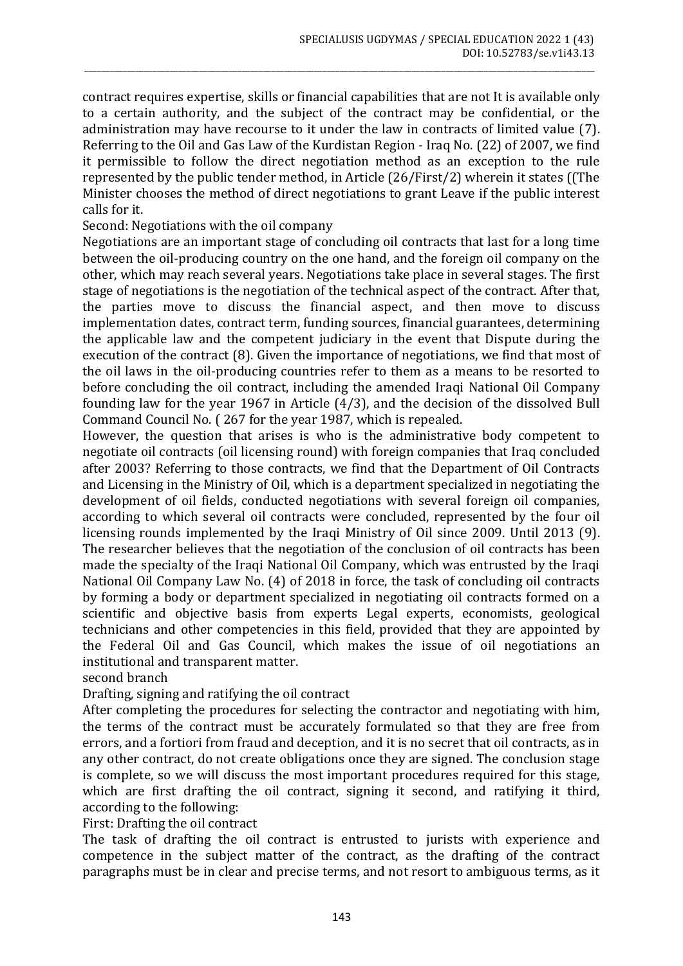contract requires expertise, skills or financial capabilities that are not It is available only to a certain authority, and the subject of the contract may be confidential, or the administration may have recourse to it under the law in contracts of limited value (7). Referring to the Oil and Gas Law of the Kurdistan Region - Iraq No. (22) of 2007, we find it permissible to follow the direct negotiation method as an exception to the rule represented by the public tender method, in Article (26/First/2) wherein it states ((The Minister chooses the method of direct negotiations to grant Leave if the public interest calls for it.

\_\_\_\_\_\_\_\_\_\_\_\_\_\_\_\_\_\_\_\_\_\_\_\_\_\_\_\_\_\_\_\_\_\_\_\_\_\_\_\_\_\_\_\_\_\_\_\_\_\_\_\_\_\_\_\_\_\_\_\_\_\_\_\_\_\_\_\_\_\_\_\_\_\_\_\_\_\_\_\_\_\_\_\_\_\_\_\_\_\_\_\_\_\_\_\_\_\_\_\_\_\_\_\_\_\_\_\_\_\_\_\_\_\_\_\_\_\_\_\_

Second: Negotiations with the oil company

Negotiations are an important stage of concluding oil contracts that last for a long time between the oil-producing country on the one hand, and the foreign oil company on the other, which may reach several years. Negotiations take place in several stages. The first stage of negotiations is the negotiation of the technical aspect of the contract. After that, the parties move to discuss the financial aspect, and then move to discuss implementation dates, contract term, funding sources, financial guarantees, determining the applicable law and the competent judiciary in the event that Dispute during the execution of the contract (8). Given the importance of negotiations, we find that most of the oil laws in the oil-producing countries refer to them as a means to be resorted to before concluding the oil contract, including the amended Iraqi National Oil Company founding law for the year 1967 in Article (4/3), and the decision of the dissolved Bull Command Council No. ( 267 for the year 1987, which is repealed.

However, the question that arises is who is the administrative body competent to negotiate oil contracts (oil licensing round) with foreign companies that Iraq concluded after 2003? Referring to those contracts, we find that the Department of Oil Contracts and Licensing in the Ministry of Oil, which is a department specialized in negotiating the development of oil fields, conducted negotiations with several foreign oil companies, according to which several oil contracts were concluded, represented by the four oil licensing rounds implemented by the Iraqi Ministry of Oil since 2009. Until 2013 (9). The researcher believes that the negotiation of the conclusion of oil contracts has been made the specialty of the Iraqi National Oil Company, which was entrusted by the Iraqi National Oil Company Law No. (4) of 2018 in force, the task of concluding oil contracts by forming a body or department specialized in negotiating oil contracts formed on a scientific and objective basis from experts Legal experts, economists, geological technicians and other competencies in this field, provided that they are appointed by the Federal Oil and Gas Council, which makes the issue of oil negotiations an institutional and transparent matter.

second branch

Drafting, signing and ratifying the oil contract

After completing the procedures for selecting the contractor and negotiating with him, the terms of the contract must be accurately formulated so that they are free from errors, and a fortiori from fraud and deception, and it is no secret that oil contracts, as in any other contract, do not create obligations once they are signed. The conclusion stage is complete, so we will discuss the most important procedures required for this stage, which are first drafting the oil contract, signing it second, and ratifying it third, according to the following:

First: Drafting the oil contract

The task of drafting the oil contract is entrusted to jurists with experience and competence in the subject matter of the contract, as the drafting of the contract paragraphs must be in clear and precise terms, and not resort to ambiguous terms, as it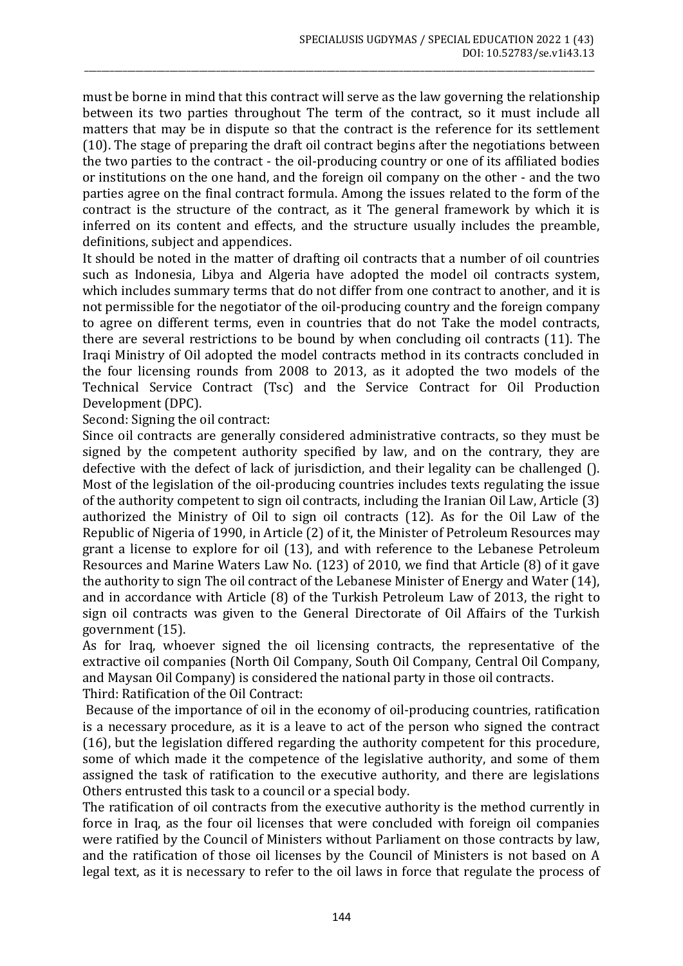must be borne in mind that this contract will serve as the law governing the relationship between its two parties throughout The term of the contract, so it must include all matters that may be in dispute so that the contract is the reference for its settlement (10). The stage of preparing the draft oil contract begins after the negotiations between the two parties to the contract - the oil-producing country or one of its affiliated bodies or institutions on the one hand, and the foreign oil company on the other - and the two parties agree on the final contract formula. Among the issues related to the form of the contract is the structure of the contract, as it The general framework by which it is inferred on its content and effects, and the structure usually includes the preamble, definitions, subject and appendices.

\_\_\_\_\_\_\_\_\_\_\_\_\_\_\_\_\_\_\_\_\_\_\_\_\_\_\_\_\_\_\_\_\_\_\_\_\_\_\_\_\_\_\_\_\_\_\_\_\_\_\_\_\_\_\_\_\_\_\_\_\_\_\_\_\_\_\_\_\_\_\_\_\_\_\_\_\_\_\_\_\_\_\_\_\_\_\_\_\_\_\_\_\_\_\_\_\_\_\_\_\_\_\_\_\_\_\_\_\_\_\_\_\_\_\_\_\_\_\_\_

It should be noted in the matter of drafting oil contracts that a number of oil countries such as Indonesia, Libya and Algeria have adopted the model oil contracts system, which includes summary terms that do not differ from one contract to another, and it is not permissible for the negotiator of the oil-producing country and the foreign company to agree on different terms, even in countries that do not Take the model contracts, there are several restrictions to be bound by when concluding oil contracts (11). The Iraqi Ministry of Oil adopted the model contracts method in its contracts concluded in the four licensing rounds from 2008 to 2013, as it adopted the two models of the Technical Service Contract (Tsc) and the Service Contract for Oil Production Development (DPC).

Second: Signing the oil contract:

Since oil contracts are generally considered administrative contracts, so they must be signed by the competent authority specified by law, and on the contrary, they are defective with the defect of lack of jurisdiction, and their legality can be challenged (). Most of the legislation of the oil-producing countries includes texts regulating the issue of the authority competent to sign oil contracts, including the Iranian Oil Law, Article (3) authorized the Ministry of Oil to sign oil contracts (12). As for the Oil Law of the Republic of Nigeria of 1990, in Article (2) of it, the Minister of Petroleum Resources may grant a license to explore for oil (13), and with reference to the Lebanese Petroleum Resources and Marine Waters Law No. (123) of 2010, we find that Article (8) of it gave the authority to sign The oil contract of the Lebanese Minister of Energy and Water (14), and in accordance with Article (8) of the Turkish Petroleum Law of 2013, the right to sign oil contracts was given to the General Directorate of Oil Affairs of the Turkish government (15).

As for Iraq, whoever signed the oil licensing contracts, the representative of the extractive oil companies (North Oil Company, South Oil Company, Central Oil Company, and Maysan Oil Company) is considered the national party in those oil contracts. Third: Ratification of the Oil Contract:

Because of the importance of oil in the economy of oil-producing countries, ratification is a necessary procedure, as it is a leave to act of the person who signed the contract (16), but the legislation differed regarding the authority competent for this procedure, some of which made it the competence of the legislative authority, and some of them assigned the task of ratification to the executive authority, and there are legislations Others entrusted this task to a council or a special body.

The ratification of oil contracts from the executive authority is the method currently in force in Iraq, as the four oil licenses that were concluded with foreign oil companies were ratified by the Council of Ministers without Parliament on those contracts by law, and the ratification of those oil licenses by the Council of Ministers is not based on A legal text, as it is necessary to refer to the oil laws in force that regulate the process of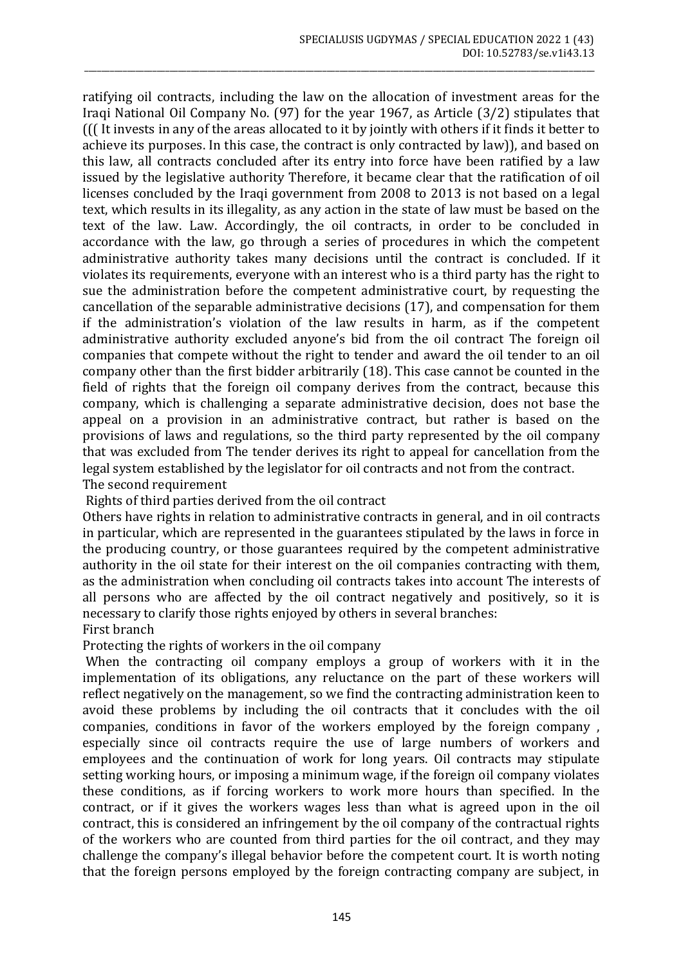ratifying oil contracts, including the law on the allocation of investment areas for the Iraqi National Oil Company No. (97) for the year 1967, as Article (3/2) stipulates that ((( It invests in any of the areas allocated to it by jointly with others if it finds it better to achieve its purposes. In this case, the contract is only contracted by law)), and based on this law, all contracts concluded after its entry into force have been ratified by a law issued by the legislative authority Therefore, it became clear that the ratification of oil licenses concluded by the Iraqi government from 2008 to 2013 is not based on a legal text, which results in its illegality, as any action in the state of law must be based on the text of the law. Law. Accordingly, the oil contracts, in order to be concluded in accordance with the law, go through a series of procedures in which the competent administrative authority takes many decisions until the contract is concluded. If it violates its requirements, everyone with an interest who is a third party has the right to sue the administration before the competent administrative court, by requesting the cancellation of the separable administrative decisions (17), and compensation for them if the administration's violation of the law results in harm, as if the competent administrative authority excluded anyone's bid from the oil contract The foreign oil companies that compete without the right to tender and award the oil tender to an oil company other than the first bidder arbitrarily (18). This case cannot be counted in the field of rights that the foreign oil company derives from the contract, because this company, which is challenging a separate administrative decision, does not base the appeal on a provision in an administrative contract, but rather is based on the provisions of laws and regulations, so the third party represented by the oil company that was excluded from The tender derives its right to appeal for cancellation from the legal system established by the legislator for oil contracts and not from the contract. The second requirement

\_\_\_\_\_\_\_\_\_\_\_\_\_\_\_\_\_\_\_\_\_\_\_\_\_\_\_\_\_\_\_\_\_\_\_\_\_\_\_\_\_\_\_\_\_\_\_\_\_\_\_\_\_\_\_\_\_\_\_\_\_\_\_\_\_\_\_\_\_\_\_\_\_\_\_\_\_\_\_\_\_\_\_\_\_\_\_\_\_\_\_\_\_\_\_\_\_\_\_\_\_\_\_\_\_\_\_\_\_\_\_\_\_\_\_\_\_\_\_\_

Rights of third parties derived from the oil contract

Others have rights in relation to administrative contracts in general, and in oil contracts in particular, which are represented in the guarantees stipulated by the laws in force in the producing country, or those guarantees required by the competent administrative authority in the oil state for their interest on the oil companies contracting with them, as the administration when concluding oil contracts takes into account The interests of all persons who are affected by the oil contract negatively and positively, so it is necessary to clarify those rights enjoyed by others in several branches:

First branch

Protecting the rights of workers in the oil company

When the contracting oil company employs a group of workers with it in the implementation of its obligations, any reluctance on the part of these workers will reflect negatively on the management, so we find the contracting administration keen to avoid these problems by including the oil contracts that it concludes with the oil companies, conditions in favor of the workers employed by the foreign company , especially since oil contracts require the use of large numbers of workers and employees and the continuation of work for long years. Oil contracts may stipulate setting working hours, or imposing a minimum wage, if the foreign oil company violates these conditions, as if forcing workers to work more hours than specified. In the contract, or if it gives the workers wages less than what is agreed upon in the oil contract, this is considered an infringement by the oil company of the contractual rights of the workers who are counted from third parties for the oil contract, and they may challenge the company's illegal behavior before the competent court. It is worth noting that the foreign persons employed by the foreign contracting company are subject, in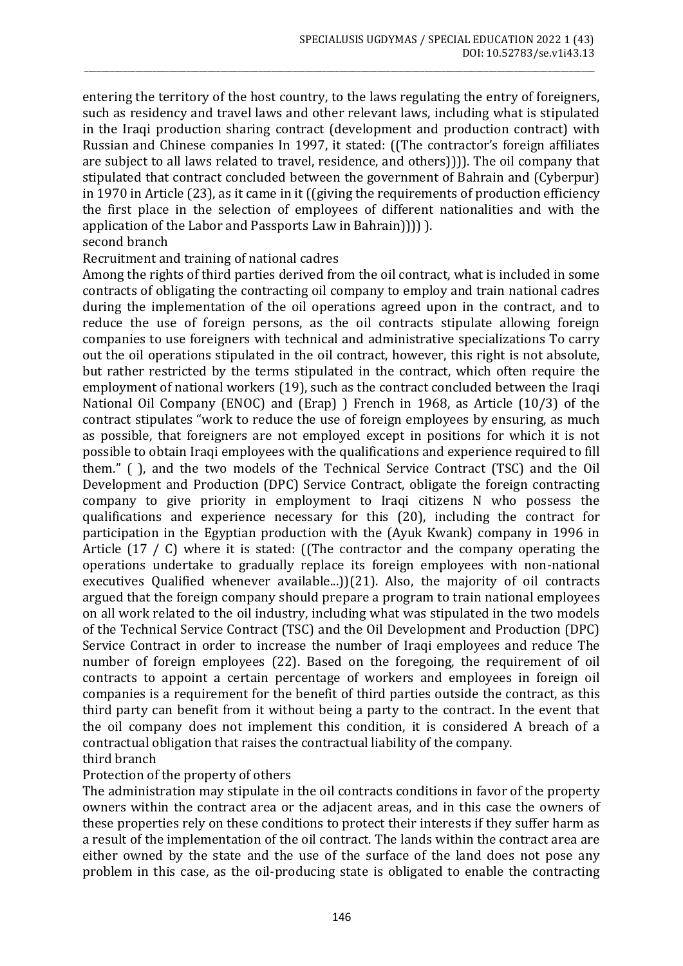entering the territory of the host country, to the laws regulating the entry of foreigners, such as residency and travel laws and other relevant laws, including what is stipulated in the Iraqi production sharing contract (development and production contract) with Russian and Chinese companies In 1997, it stated: ((The contractor's foreign affiliates are subject to all laws related to travel, residence, and others)))). The oil company that stipulated that contract concluded between the government of Bahrain and (Cyberpur) in 1970 in Article (23), as it came in it ((giving the requirements of production efficiency the first place in the selection of employees of different nationalities and with the application of the Labor and Passports Law in Bahrain)))) ).

\_\_\_\_\_\_\_\_\_\_\_\_\_\_\_\_\_\_\_\_\_\_\_\_\_\_\_\_\_\_\_\_\_\_\_\_\_\_\_\_\_\_\_\_\_\_\_\_\_\_\_\_\_\_\_\_\_\_\_\_\_\_\_\_\_\_\_\_\_\_\_\_\_\_\_\_\_\_\_\_\_\_\_\_\_\_\_\_\_\_\_\_\_\_\_\_\_\_\_\_\_\_\_\_\_\_\_\_\_\_\_\_\_\_\_\_\_\_\_\_

#### second branch

## Recruitment and training of national cadres

Among the rights of third parties derived from the oil contract, what is included in some contracts of obligating the contracting oil company to employ and train national cadres during the implementation of the oil operations agreed upon in the contract, and to reduce the use of foreign persons, as the oil contracts stipulate allowing foreign companies to use foreigners with technical and administrative specializations To carry out the oil operations stipulated in the oil contract, however, this right is not absolute, but rather restricted by the terms stipulated in the contract, which often require the employment of national workers (19), such as the contract concluded between the Iraqi National Oil Company (ENOC) and (Erap) ) French in 1968, as Article (10/3) of the contract stipulates "work to reduce the use of foreign employees by ensuring, as much as possible, that foreigners are not employed except in positions for which it is not possible to obtain Iraqi employees with the qualifications and experience required to fill them." ( ), and the two models of the Technical Service Contract (TSC) and the Oil Development and Production (DPC) Service Contract, obligate the foreign contracting company to give priority in employment to Iraqi citizens N who possess the qualifications and experience necessary for this (20), including the contract for participation in the Egyptian production with the (Ayuk Kwank) company in 1996 in Article (17 / C) where it is stated: ((The contractor and the company operating the operations undertake to gradually replace its foreign employees with non-national executives Qualified whenever available...))(21). Also, the majority of oil contracts argued that the foreign company should prepare a program to train national employees on all work related to the oil industry, including what was stipulated in the two models of the Technical Service Contract (TSC) and the Oil Development and Production (DPC) Service Contract in order to increase the number of Iraqi employees and reduce The number of foreign employees (22). Based on the foregoing, the requirement of oil contracts to appoint a certain percentage of workers and employees in foreign oil companies is a requirement for the benefit of third parties outside the contract, as this third party can benefit from it without being a party to the contract. In the event that the oil company does not implement this condition, it is considered A breach of a contractual obligation that raises the contractual liability of the company. third branch

# Protection of the property of others

The administration may stipulate in the oil contracts conditions in favor of the property owners within the contract area or the adjacent areas, and in this case the owners of these properties rely on these conditions to protect their interests if they suffer harm as a result of the implementation of the oil contract. The lands within the contract area are either owned by the state and the use of the surface of the land does not pose any problem in this case, as the oil-producing state is obligated to enable the contracting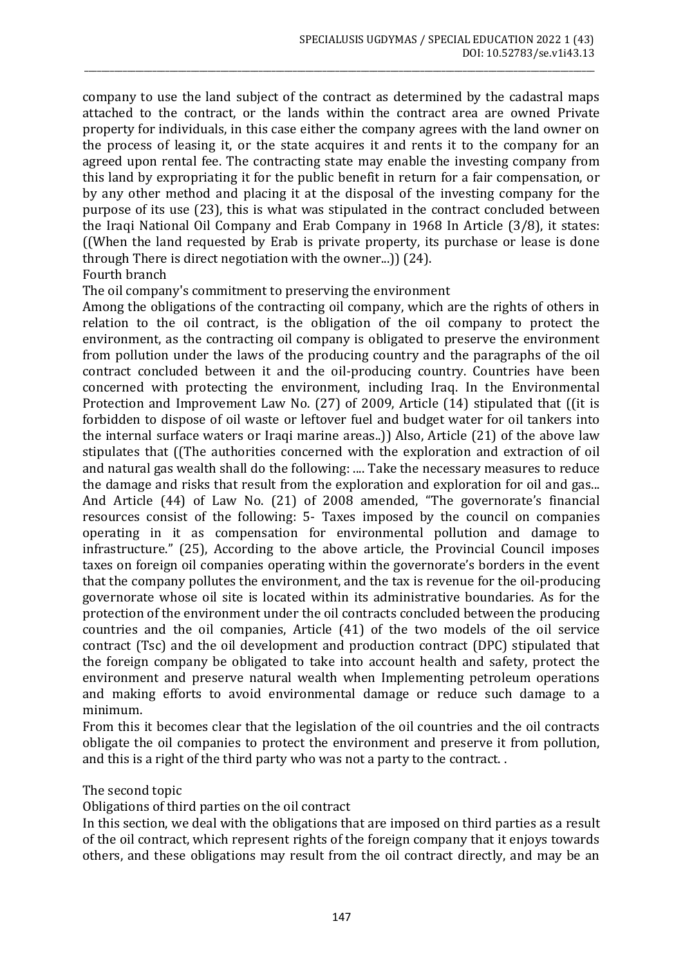company to use the land subject of the contract as determined by the cadastral maps attached to the contract, or the lands within the contract area are owned Private property for individuals, in this case either the company agrees with the land owner on the process of leasing it, or the state acquires it and rents it to the company for an agreed upon rental fee. The contracting state may enable the investing company from this land by expropriating it for the public benefit in return for a fair compensation, or by any other method and placing it at the disposal of the investing company for the purpose of its use (23), this is what was stipulated in the contract concluded between the Iraqi National Oil Company and Erab Company in 1968 In Article (3/8), it states: ((When the land requested by Erab is private property, its purchase or lease is done through There is direct negotiation with the owner...)) (24). Fourth branch

\_\_\_\_\_\_\_\_\_\_\_\_\_\_\_\_\_\_\_\_\_\_\_\_\_\_\_\_\_\_\_\_\_\_\_\_\_\_\_\_\_\_\_\_\_\_\_\_\_\_\_\_\_\_\_\_\_\_\_\_\_\_\_\_\_\_\_\_\_\_\_\_\_\_\_\_\_\_\_\_\_\_\_\_\_\_\_\_\_\_\_\_\_\_\_\_\_\_\_\_\_\_\_\_\_\_\_\_\_\_\_\_\_\_\_\_\_\_\_\_

The oil company's commitment to preserving the environment

Among the obligations of the contracting oil company, which are the rights of others in relation to the oil contract, is the obligation of the oil company to protect the environment, as the contracting oil company is obligated to preserve the environment from pollution under the laws of the producing country and the paragraphs of the oil contract concluded between it and the oil-producing country. Countries have been concerned with protecting the environment, including Iraq. In the Environmental Protection and Improvement Law No. (27) of 2009, Article (14) stipulated that ((it is forbidden to dispose of oil waste or leftover fuel and budget water for oil tankers into the internal surface waters or Iraqi marine areas..)) Also, Article (21) of the above law stipulates that ((The authorities concerned with the exploration and extraction of oil and natural gas wealth shall do the following: .... Take the necessary measures to reduce the damage and risks that result from the exploration and exploration for oil and gas... And Article (44) of Law No. (21) of 2008 amended, "The governorate's financial resources consist of the following: 5- Taxes imposed by the council on companies operating in it as compensation for environmental pollution and damage to infrastructure." (25), According to the above article, the Provincial Council imposes taxes on foreign oil companies operating within the governorate's borders in the event that the company pollutes the environment, and the tax is revenue for the oil-producing governorate whose oil site is located within its administrative boundaries. As for the protection of the environment under the oil contracts concluded between the producing countries and the oil companies, Article (41) of the two models of the oil service contract (Tsc) and the oil development and production contract (DPC) stipulated that the foreign company be obligated to take into account health and safety, protect the environment and preserve natural wealth when Implementing petroleum operations and making efforts to avoid environmental damage or reduce such damage to a minimum.

From this it becomes clear that the legislation of the oil countries and the oil contracts obligate the oil companies to protect the environment and preserve it from pollution, and this is a right of the third party who was not a party to the contract. .

The second topic

Obligations of third parties on the oil contract

In this section, we deal with the obligations that are imposed on third parties as a result of the oil contract, which represent rights of the foreign company that it enjoys towards others, and these obligations may result from the oil contract directly, and may be an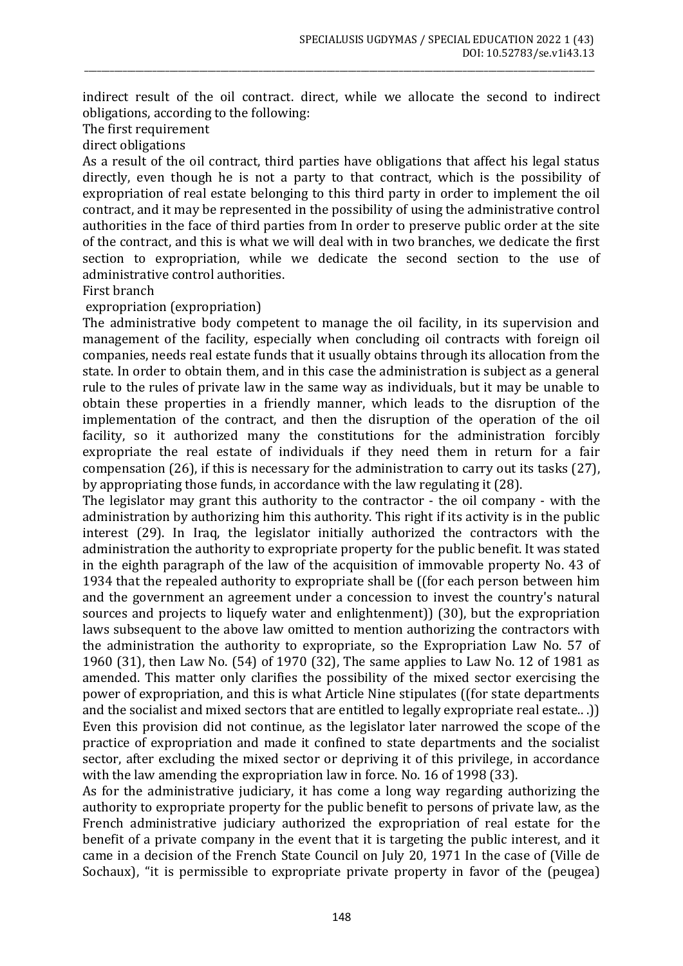indirect result of the oil contract. direct, while we allocate the second to indirect obligations, according to the following:

\_\_\_\_\_\_\_\_\_\_\_\_\_\_\_\_\_\_\_\_\_\_\_\_\_\_\_\_\_\_\_\_\_\_\_\_\_\_\_\_\_\_\_\_\_\_\_\_\_\_\_\_\_\_\_\_\_\_\_\_\_\_\_\_\_\_\_\_\_\_\_\_\_\_\_\_\_\_\_\_\_\_\_\_\_\_\_\_\_\_\_\_\_\_\_\_\_\_\_\_\_\_\_\_\_\_\_\_\_\_\_\_\_\_\_\_\_\_\_\_

The first requirement

direct obligations

As a result of the oil contract, third parties have obligations that affect his legal status directly, even though he is not a party to that contract, which is the possibility of expropriation of real estate belonging to this third party in order to implement the oil contract, and it may be represented in the possibility of using the administrative control authorities in the face of third parties from In order to preserve public order at the site of the contract, and this is what we will deal with in two branches, we dedicate the first section to expropriation, while we dedicate the second section to the use of administrative control authorities.

First branch

expropriation (expropriation)

The administrative body competent to manage the oil facility, in its supervision and management of the facility, especially when concluding oil contracts with foreign oil companies, needs real estate funds that it usually obtains through its allocation from the state. In order to obtain them, and in this case the administration is subject as a general rule to the rules of private law in the same way as individuals, but it may be unable to obtain these properties in a friendly manner, which leads to the disruption of the implementation of the contract, and then the disruption of the operation of the oil facility, so it authorized many the constitutions for the administration forcibly expropriate the real estate of individuals if they need them in return for a fair compensation (26), if this is necessary for the administration to carry out its tasks (27), by appropriating those funds, in accordance with the law regulating it (28).

The legislator may grant this authority to the contractor - the oil company - with the administration by authorizing him this authority. This right if its activity is in the public interest (29). In Iraq, the legislator initially authorized the contractors with the administration the authority to expropriate property for the public benefit. It was stated in the eighth paragraph of the law of the acquisition of immovable property No. 43 of 1934 that the repealed authority to expropriate shall be ((for each person between him and the government an agreement under a concession to invest the country's natural sources and projects to liquefy water and enlightenment)) (30), but the expropriation laws subsequent to the above law omitted to mention authorizing the contractors with the administration the authority to expropriate, so the Expropriation Law No. 57 of 1960 (31), then Law No. (54) of 1970 (32), The same applies to Law No. 12 of 1981 as amended. This matter only clarifies the possibility of the mixed sector exercising the power of expropriation, and this is what Article Nine stipulates ((for state departments and the socialist and mixed sectors that are entitled to legally expropriate real estate.. .)) Even this provision did not continue, as the legislator later narrowed the scope of the practice of expropriation and made it confined to state departments and the socialist sector, after excluding the mixed sector or depriving it of this privilege, in accordance with the law amending the expropriation law in force. No. 16 of 1998 (33).

As for the administrative judiciary, it has come a long way regarding authorizing the authority to expropriate property for the public benefit to persons of private law, as the French administrative judiciary authorized the expropriation of real estate for the benefit of a private company in the event that it is targeting the public interest, and it came in a decision of the French State Council on July 20, 1971 In the case of (Ville de Sochaux), "it is permissible to expropriate private property in favor of the (peugea)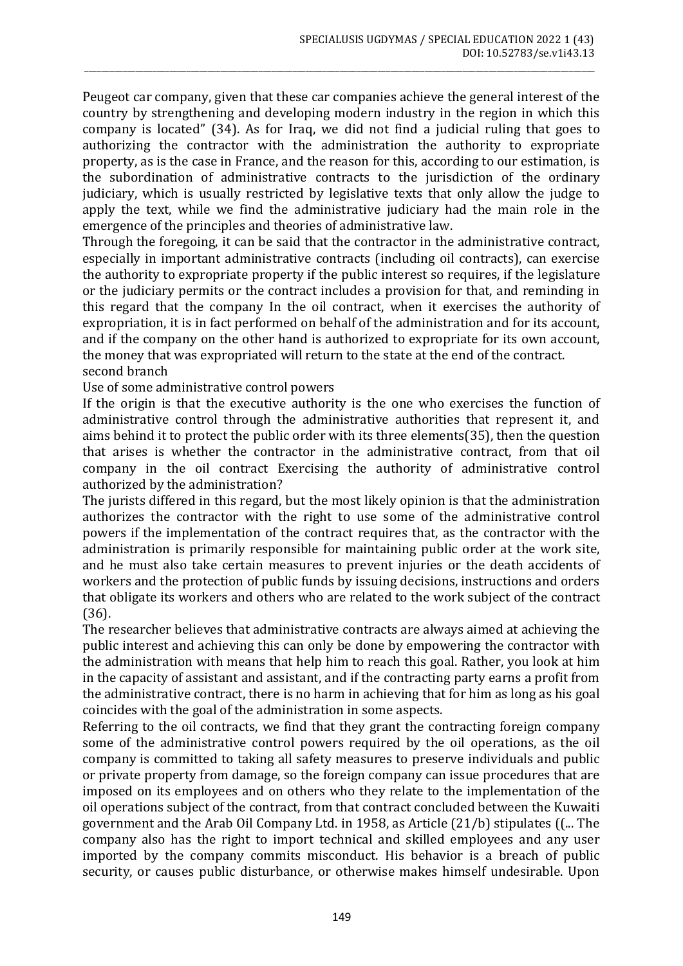Peugeot car company, given that these car companies achieve the general interest of the country by strengthening and developing modern industry in the region in which this company is located" (34). As for Iraq, we did not find a judicial ruling that goes to authorizing the contractor with the administration the authority to expropriate property, as is the case in France, and the reason for this, according to our estimation, is the subordination of administrative contracts to the jurisdiction of the ordinary judiciary, which is usually restricted by legislative texts that only allow the judge to apply the text, while we find the administrative judiciary had the main role in the emergence of the principles and theories of administrative law.

\_\_\_\_\_\_\_\_\_\_\_\_\_\_\_\_\_\_\_\_\_\_\_\_\_\_\_\_\_\_\_\_\_\_\_\_\_\_\_\_\_\_\_\_\_\_\_\_\_\_\_\_\_\_\_\_\_\_\_\_\_\_\_\_\_\_\_\_\_\_\_\_\_\_\_\_\_\_\_\_\_\_\_\_\_\_\_\_\_\_\_\_\_\_\_\_\_\_\_\_\_\_\_\_\_\_\_\_\_\_\_\_\_\_\_\_\_\_\_\_

Through the foregoing, it can be said that the contractor in the administrative contract, especially in important administrative contracts (including oil contracts), can exercise the authority to expropriate property if the public interest so requires, if the legislature or the judiciary permits or the contract includes a provision for that, and reminding in this regard that the company In the oil contract, when it exercises the authority of expropriation, it is in fact performed on behalf of the administration and for its account, and if the company on the other hand is authorized to expropriate for its own account, the money that was expropriated will return to the state at the end of the contract. second branch

Use of some administrative control powers

If the origin is that the executive authority is the one who exercises the function of administrative control through the administrative authorities that represent it, and aims behind it to protect the public order with its three elements(35), then the question that arises is whether the contractor in the administrative contract, from that oil company in the oil contract Exercising the authority of administrative control authorized by the administration?

The jurists differed in this regard, but the most likely opinion is that the administration authorizes the contractor with the right to use some of the administrative control powers if the implementation of the contract requires that, as the contractor with the administration is primarily responsible for maintaining public order at the work site, and he must also take certain measures to prevent injuries or the death accidents of workers and the protection of public funds by issuing decisions, instructions and orders that obligate its workers and others who are related to the work subject of the contract (36).

The researcher believes that administrative contracts are always aimed at achieving the public interest and achieving this can only be done by empowering the contractor with the administration with means that help him to reach this goal. Rather, you look at him in the capacity of assistant and assistant, and if the contracting party earns a profit from the administrative contract, there is no harm in achieving that for him as long as his goal coincides with the goal of the administration in some aspects.

Referring to the oil contracts, we find that they grant the contracting foreign company some of the administrative control powers required by the oil operations, as the oil company is committed to taking all safety measures to preserve individuals and public or private property from damage, so the foreign company can issue procedures that are imposed on its employees and on others who they relate to the implementation of the oil operations subject of the contract, from that contract concluded between the Kuwaiti government and the Arab Oil Company Ltd. in 1958, as Article (21/b) stipulates ((... The company also has the right to import technical and skilled employees and any user imported by the company commits misconduct. His behavior is a breach of public security, or causes public disturbance, or otherwise makes himself undesirable. Upon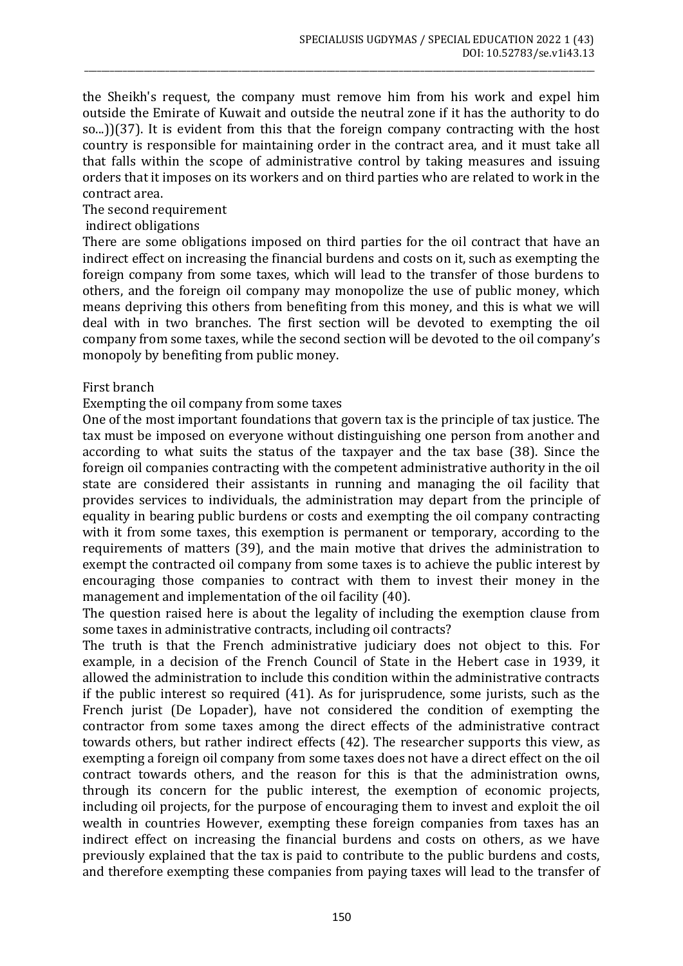the Sheikh's request, the company must remove him from his work and expel him outside the Emirate of Kuwait and outside the neutral zone if it has the authority to do so...))(37). It is evident from this that the foreign company contracting with the host country is responsible for maintaining order in the contract area, and it must take all that falls within the scope of administrative control by taking measures and issuing orders that it imposes on its workers and on third parties who are related to work in the contract area.

\_\_\_\_\_\_\_\_\_\_\_\_\_\_\_\_\_\_\_\_\_\_\_\_\_\_\_\_\_\_\_\_\_\_\_\_\_\_\_\_\_\_\_\_\_\_\_\_\_\_\_\_\_\_\_\_\_\_\_\_\_\_\_\_\_\_\_\_\_\_\_\_\_\_\_\_\_\_\_\_\_\_\_\_\_\_\_\_\_\_\_\_\_\_\_\_\_\_\_\_\_\_\_\_\_\_\_\_\_\_\_\_\_\_\_\_\_\_\_\_

The second requirement

indirect obligations

There are some obligations imposed on third parties for the oil contract that have an indirect effect on increasing the financial burdens and costs on it, such as exempting the foreign company from some taxes, which will lead to the transfer of those burdens to others, and the foreign oil company may monopolize the use of public money, which means depriving this others from benefiting from this money, and this is what we will deal with in two branches. The first section will be devoted to exempting the oil company from some taxes, while the second section will be devoted to the oil company's monopoly by benefiting from public money.

#### First branch

#### Exempting the oil company from some taxes

One of the most important foundations that govern tax is the principle of tax justice. The tax must be imposed on everyone without distinguishing one person from another and according to what suits the status of the taxpayer and the tax base (38). Since the foreign oil companies contracting with the competent administrative authority in the oil state are considered their assistants in running and managing the oil facility that provides services to individuals, the administration may depart from the principle of equality in bearing public burdens or costs and exempting the oil company contracting with it from some taxes, this exemption is permanent or temporary, according to the requirements of matters (39), and the main motive that drives the administration to exempt the contracted oil company from some taxes is to achieve the public interest by encouraging those companies to contract with them to invest their money in the management and implementation of the oil facility (40).

The question raised here is about the legality of including the exemption clause from some taxes in administrative contracts, including oil contracts?

The truth is that the French administrative judiciary does not object to this. For example, in a decision of the French Council of State in the Hebert case in 1939, it allowed the administration to include this condition within the administrative contracts if the public interest so required (41). As for jurisprudence, some jurists, such as the French jurist (De Lopader), have not considered the condition of exempting the contractor from some taxes among the direct effects of the administrative contract towards others, but rather indirect effects (42). The researcher supports this view, as exempting a foreign oil company from some taxes does not have a direct effect on the oil contract towards others, and the reason for this is that the administration owns, through its concern for the public interest, the exemption of economic projects, including oil projects, for the purpose of encouraging them to invest and exploit the oil wealth in countries However, exempting these foreign companies from taxes has an indirect effect on increasing the financial burdens and costs on others, as we have previously explained that the tax is paid to contribute to the public burdens and costs, and therefore exempting these companies from paying taxes will lead to the transfer of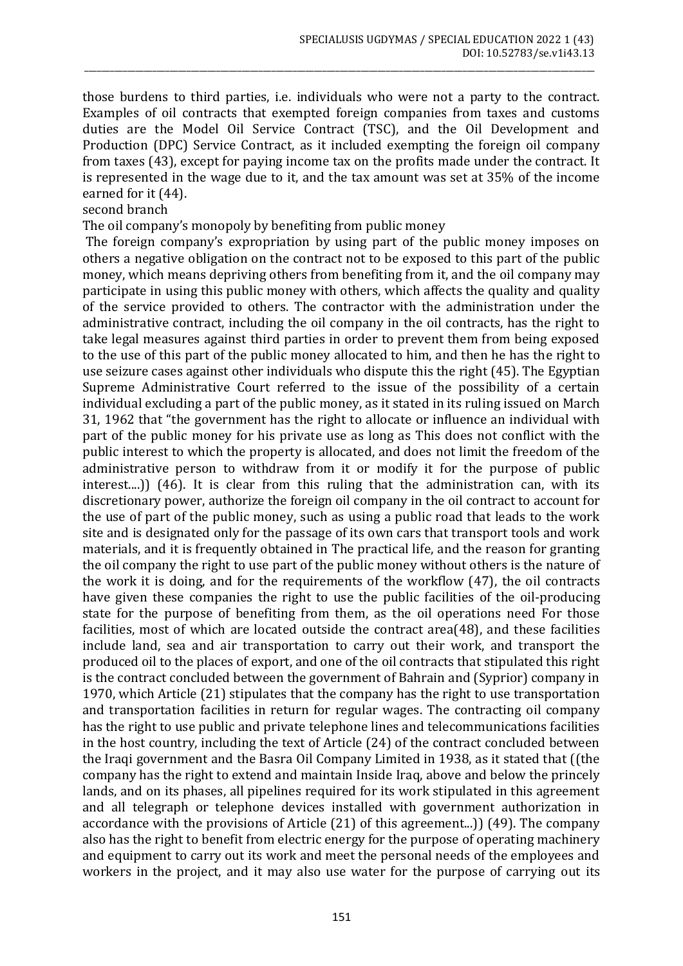those burdens to third parties, i.e. individuals who were not a party to the contract. Examples of oil contracts that exempted foreign companies from taxes and customs duties are the Model Oil Service Contract (TSC), and the Oil Development and Production (DPC) Service Contract, as it included exempting the foreign oil company from taxes (43), except for paying income tax on the profits made under the contract. It is represented in the wage due to it, and the tax amount was set at 35% of the income earned for it (44).

\_\_\_\_\_\_\_\_\_\_\_\_\_\_\_\_\_\_\_\_\_\_\_\_\_\_\_\_\_\_\_\_\_\_\_\_\_\_\_\_\_\_\_\_\_\_\_\_\_\_\_\_\_\_\_\_\_\_\_\_\_\_\_\_\_\_\_\_\_\_\_\_\_\_\_\_\_\_\_\_\_\_\_\_\_\_\_\_\_\_\_\_\_\_\_\_\_\_\_\_\_\_\_\_\_\_\_\_\_\_\_\_\_\_\_\_\_\_\_\_

second branch

The oil company's monopoly by benefiting from public money

The foreign company's expropriation by using part of the public money imposes on others a negative obligation on the contract not to be exposed to this part of the public money, which means depriving others from benefiting from it, and the oil company may participate in using this public money with others, which affects the quality and quality of the service provided to others. The contractor with the administration under the administrative contract, including the oil company in the oil contracts, has the right to take legal measures against third parties in order to prevent them from being exposed to the use of this part of the public money allocated to him, and then he has the right to use seizure cases against other individuals who dispute this the right (45). The Egyptian Supreme Administrative Court referred to the issue of the possibility of a certain individual excluding a part of the public money, as it stated in its ruling issued on March 31, 1962 that "the government has the right to allocate or influence an individual with part of the public money for his private use as long as This does not conflict with the public interest to which the property is allocated, and does not limit the freedom of the administrative person to withdraw from it or modify it for the purpose of public interest....)) (46). It is clear from this ruling that the administration can, with its discretionary power, authorize the foreign oil company in the oil contract to account for the use of part of the public money, such as using a public road that leads to the work site and is designated only for the passage of its own cars that transport tools and work materials, and it is frequently obtained in The practical life, and the reason for granting the oil company the right to use part of the public money without others is the nature of the work it is doing, and for the requirements of the workflow (47), the oil contracts have given these companies the right to use the public facilities of the oil-producing state for the purpose of benefiting from them, as the oil operations need For those facilities, most of which are located outside the contract area(48), and these facilities include land, sea and air transportation to carry out their work, and transport the produced oil to the places of export, and one of the oil contracts that stipulated this right is the contract concluded between the government of Bahrain and (Syprior) company in 1970, which Article (21) stipulates that the company has the right to use transportation and transportation facilities in return for regular wages. The contracting oil company has the right to use public and private telephone lines and telecommunications facilities in the host country, including the text of Article (24) of the contract concluded between the Iraqi government and the Basra Oil Company Limited in 1938, as it stated that ((the company has the right to extend and maintain Inside Iraq, above and below the princely lands, and on its phases, all pipelines required for its work stipulated in this agreement and all telegraph or telephone devices installed with government authorization in accordance with the provisions of Article (21) of this agreement...)) (49). The company also has the right to benefit from electric energy for the purpose of operating machinery and equipment to carry out its work and meet the personal needs of the employees and workers in the project, and it may also use water for the purpose of carrying out its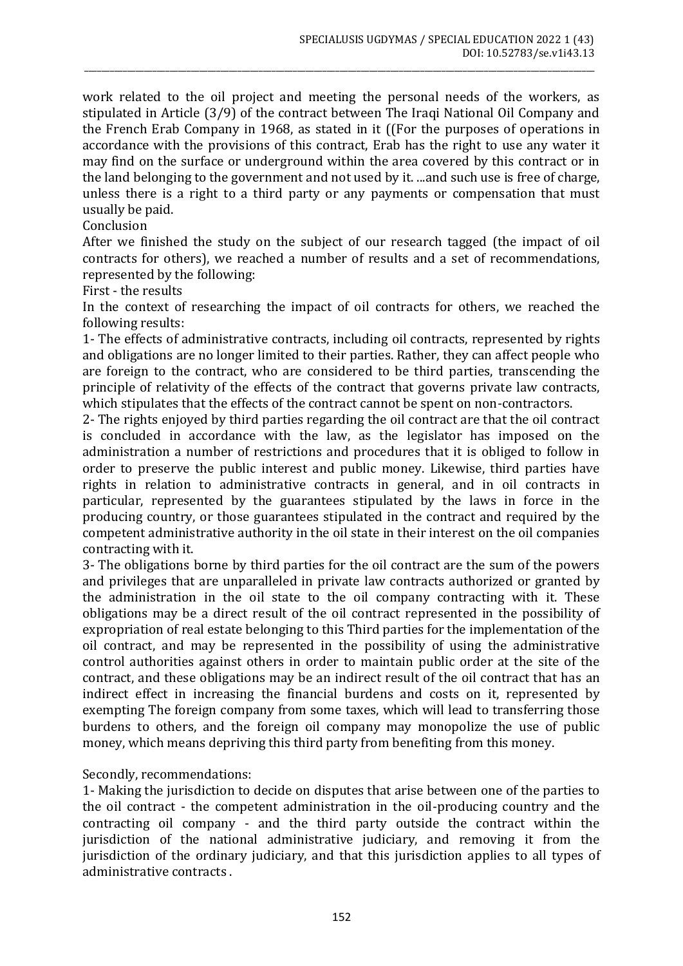work related to the oil project and meeting the personal needs of the workers, as stipulated in Article (3/9) of the contract between The Iraqi National Oil Company and the French Erab Company in 1968, as stated in it ((For the purposes of operations in accordance with the provisions of this contract, Erab has the right to use any water it may find on the surface or underground within the area covered by this contract or in the land belonging to the government and not used by it. ...and such use is free of charge, unless there is a right to a third party or any payments or compensation that must usually be paid.

\_\_\_\_\_\_\_\_\_\_\_\_\_\_\_\_\_\_\_\_\_\_\_\_\_\_\_\_\_\_\_\_\_\_\_\_\_\_\_\_\_\_\_\_\_\_\_\_\_\_\_\_\_\_\_\_\_\_\_\_\_\_\_\_\_\_\_\_\_\_\_\_\_\_\_\_\_\_\_\_\_\_\_\_\_\_\_\_\_\_\_\_\_\_\_\_\_\_\_\_\_\_\_\_\_\_\_\_\_\_\_\_\_\_\_\_\_\_\_\_

Conclusion

After we finished the study on the subject of our research tagged (the impact of oil contracts for others), we reached a number of results and a set of recommendations, represented by the following:

First - the results

In the context of researching the impact of oil contracts for others, we reached the following results:

1- The effects of administrative contracts, including oil contracts, represented by rights and obligations are no longer limited to their parties. Rather, they can affect people who are foreign to the contract, who are considered to be third parties, transcending the principle of relativity of the effects of the contract that governs private law contracts, which stipulates that the effects of the contract cannot be spent on non-contractors.

2- The rights enjoyed by third parties regarding the oil contract are that the oil contract is concluded in accordance with the law, as the legislator has imposed on the administration a number of restrictions and procedures that it is obliged to follow in order to preserve the public interest and public money. Likewise, third parties have rights in relation to administrative contracts in general, and in oil contracts in particular, represented by the guarantees stipulated by the laws in force in the producing country, or those guarantees stipulated in the contract and required by the competent administrative authority in the oil state in their interest on the oil companies contracting with it.

3- The obligations borne by third parties for the oil contract are the sum of the powers and privileges that are unparalleled in private law contracts authorized or granted by the administration in the oil state to the oil company contracting with it. These obligations may be a direct result of the oil contract represented in the possibility of expropriation of real estate belonging to this Third parties for the implementation of the oil contract, and may be represented in the possibility of using the administrative control authorities against others in order to maintain public order at the site of the contract, and these obligations may be an indirect result of the oil contract that has an indirect effect in increasing the financial burdens and costs on it, represented by exempting The foreign company from some taxes, which will lead to transferring those burdens to others, and the foreign oil company may monopolize the use of public money, which means depriving this third party from benefiting from this money.

Secondly, recommendations:

1- Making the jurisdiction to decide on disputes that arise between one of the parties to the oil contract - the competent administration in the oil-producing country and the contracting oil company - and the third party outside the contract within the jurisdiction of the national administrative judiciary, and removing it from the jurisdiction of the ordinary judiciary, and that this jurisdiction applies to all types of administrative contracts .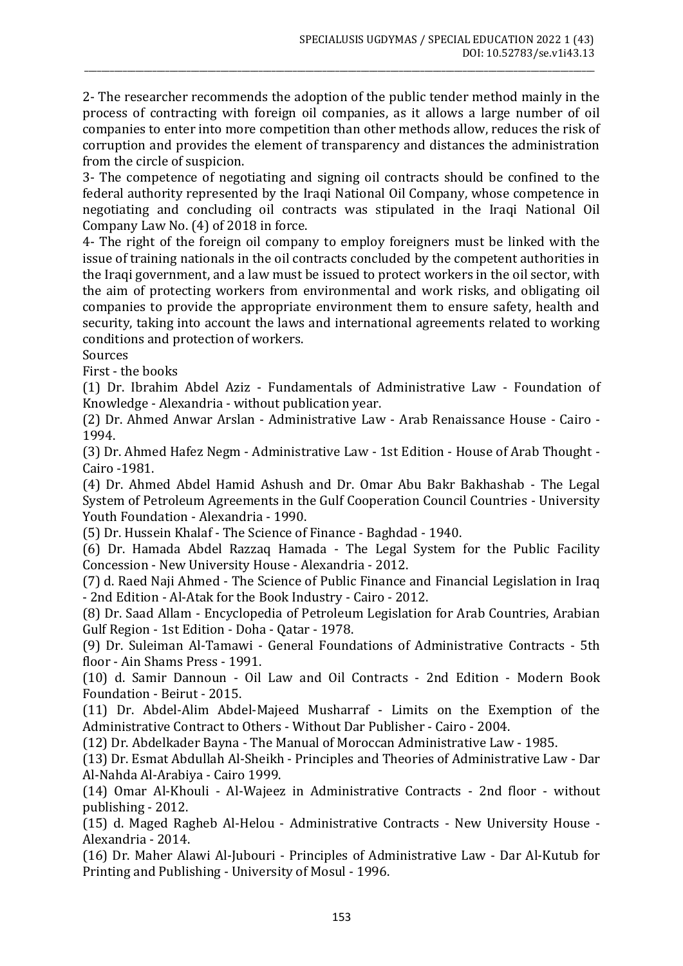2- The researcher recommends the adoption of the public tender method mainly in the process of contracting with foreign oil companies, as it allows a large number of oil companies to enter into more competition than other methods allow, reduces the risk of corruption and provides the element of transparency and distances the administration from the circle of suspicion.

\_\_\_\_\_\_\_\_\_\_\_\_\_\_\_\_\_\_\_\_\_\_\_\_\_\_\_\_\_\_\_\_\_\_\_\_\_\_\_\_\_\_\_\_\_\_\_\_\_\_\_\_\_\_\_\_\_\_\_\_\_\_\_\_\_\_\_\_\_\_\_\_\_\_\_\_\_\_\_\_\_\_\_\_\_\_\_\_\_\_\_\_\_\_\_\_\_\_\_\_\_\_\_\_\_\_\_\_\_\_\_\_\_\_\_\_\_\_\_\_

3- The competence of negotiating and signing oil contracts should be confined to the federal authority represented by the Iraqi National Oil Company, whose competence in negotiating and concluding oil contracts was stipulated in the Iraqi National Oil Company Law No. (4) of 2018 in force.

4- The right of the foreign oil company to employ foreigners must be linked with the issue of training nationals in the oil contracts concluded by the competent authorities in the Iraqi government, and a law must be issued to protect workers in the oil sector, with the aim of protecting workers from environmental and work risks, and obligating oil companies to provide the appropriate environment them to ensure safety, health and security, taking into account the laws and international agreements related to working conditions and protection of workers.

Sources

First - the books

(1) Dr. Ibrahim Abdel Aziz - Fundamentals of Administrative Law - Foundation of Knowledge - Alexandria - without publication year.

(2) Dr. Ahmed Anwar Arslan - Administrative Law - Arab Renaissance House - Cairo - 1994.

(3) Dr. Ahmed Hafez Negm - Administrative Law - 1st Edition - House of Arab Thought - Cairo -1981.

(4) Dr. Ahmed Abdel Hamid Ashush and Dr. Omar Abu Bakr Bakhashab - The Legal System of Petroleum Agreements in the Gulf Cooperation Council Countries - University Youth Foundation - Alexandria - 1990.

(5) Dr. Hussein Khalaf - The Science of Finance - Baghdad - 1940.

(6) Dr. Hamada Abdel Razzaq Hamada - The Legal System for the Public Facility Concession - New University House - Alexandria - 2012.

(7) d. Raed Naji Ahmed - The Science of Public Finance and Financial Legislation in Iraq - 2nd Edition - Al-Atak for the Book Industry - Cairo - 2012.

(8) Dr. Saad Allam - Encyclopedia of Petroleum Legislation for Arab Countries, Arabian Gulf Region - 1st Edition - Doha - Qatar - 1978.

(9) Dr. Suleiman Al-Tamawi - General Foundations of Administrative Contracts - 5th floor - Ain Shams Press - 1991.

(10) d. Samir Dannoun - Oil Law and Oil Contracts - 2nd Edition - Modern Book Foundation - Beirut - 2015.

(11) Dr. Abdel-Alim Abdel-Majeed Musharraf - Limits on the Exemption of the Administrative Contract to Others - Without Dar Publisher - Cairo - 2004.

(12) Dr. Abdelkader Bayna - The Manual of Moroccan Administrative Law - 1985.

(13) Dr. Esmat Abdullah Al-Sheikh - Principles and Theories of Administrative Law - Dar Al-Nahda Al-Arabiya - Cairo 1999.

(14) Omar Al-Khouli - Al-Wajeez in Administrative Contracts - 2nd floor - without publishing - 2012.

(15) d. Maged Ragheb Al-Helou - Administrative Contracts - New University House - Alexandria - 2014.

(16) Dr. Maher Alawi Al-Jubouri - Principles of Administrative Law - Dar Al-Kutub for Printing and Publishing - University of Mosul - 1996.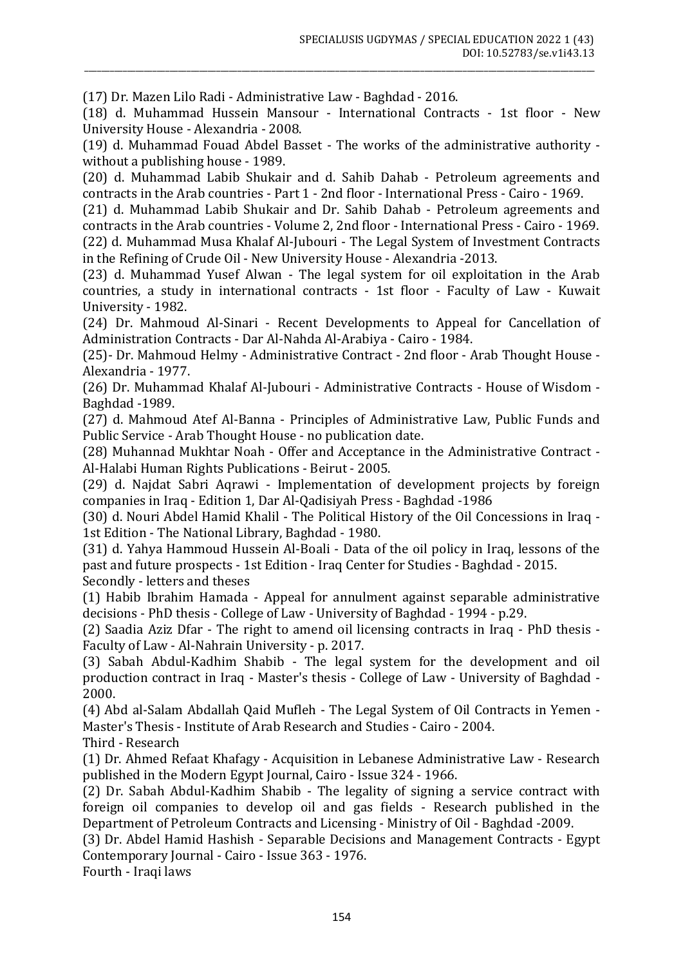(17) Dr. Mazen Lilo Radi - Administrative Law - Baghdad - 2016.

(18) d. Muhammad Hussein Mansour - International Contracts - 1st floor - New University House - Alexandria - 2008.

\_\_\_\_\_\_\_\_\_\_\_\_\_\_\_\_\_\_\_\_\_\_\_\_\_\_\_\_\_\_\_\_\_\_\_\_\_\_\_\_\_\_\_\_\_\_\_\_\_\_\_\_\_\_\_\_\_\_\_\_\_\_\_\_\_\_\_\_\_\_\_\_\_\_\_\_\_\_\_\_\_\_\_\_\_\_\_\_\_\_\_\_\_\_\_\_\_\_\_\_\_\_\_\_\_\_\_\_\_\_\_\_\_\_\_\_\_\_\_\_

(19) d. Muhammad Fouad Abdel Basset - The works of the administrative authority without a publishing house - 1989.

(20) d. Muhammad Labib Shukair and d. Sahib Dahab - Petroleum agreements and contracts in the Arab countries - Part 1 - 2nd floor - International Press - Cairo - 1969.

(21) d. Muhammad Labib Shukair and Dr. Sahib Dahab - Petroleum agreements and contracts in the Arab countries - Volume 2, 2nd floor - International Press - Cairo - 1969. (22) d. Muhammad Musa Khalaf Al-Jubouri - The Legal System of Investment Contracts in the Refining of Crude Oil - New University House - Alexandria -2013.

(23) d. Muhammad Yusef Alwan - The legal system for oil exploitation in the Arab countries, a study in international contracts - 1st floor - Faculty of Law - Kuwait University - 1982.

(24) Dr. Mahmoud Al-Sinari - Recent Developments to Appeal for Cancellation of Administration Contracts - Dar Al-Nahda Al-Arabiya - Cairo - 1984.

(25)- Dr. Mahmoud Helmy - Administrative Contract - 2nd floor - Arab Thought House - Alexandria - 1977.

(26) Dr. Muhammad Khalaf Al-Jubouri - Administrative Contracts - House of Wisdom - Baghdad -1989.

(27) d. Mahmoud Atef Al-Banna - Principles of Administrative Law, Public Funds and Public Service - Arab Thought House - no publication date.

(28) Muhannad Mukhtar Noah - Offer and Acceptance in the Administrative Contract - Al-Halabi Human Rights Publications - Beirut - 2005.

(29) d. Najdat Sabri Aqrawi - Implementation of development projects by foreign companies in Iraq - Edition 1, Dar Al-Qadisiyah Press - Baghdad -1986

(30) d. Nouri Abdel Hamid Khalil - The Political History of the Oil Concessions in Iraq - 1st Edition - The National Library, Baghdad - 1980.

(31) d. Yahya Hammoud Hussein Al-Boali - Data of the oil policy in Iraq, lessons of the past and future prospects - 1st Edition - Iraq Center for Studies - Baghdad - 2015. Secondly - letters and theses

(1) Habib Ibrahim Hamada - Appeal for annulment against separable administrative decisions - PhD thesis - College of Law - University of Baghdad - 1994 - p.29.

(2) Saadia Aziz Dfar - The right to amend oil licensing contracts in Iraq - PhD thesis - Faculty of Law - Al-Nahrain University - p. 2017.

(3) Sabah Abdul-Kadhim Shabib - The legal system for the development and oil production contract in Iraq - Master's thesis - College of Law - University of Baghdad - 2000.

(4) Abd al-Salam Abdallah Qaid Mufleh - The Legal System of Oil Contracts in Yemen - Master's Thesis - Institute of Arab Research and Studies - Cairo - 2004.

Third - Research

(1) Dr. Ahmed Refaat Khafagy - Acquisition in Lebanese Administrative Law - Research published in the Modern Egypt Journal, Cairo - Issue 324 - 1966.

(2) Dr. Sabah Abdul-Kadhim Shabib - The legality of signing a service contract with foreign oil companies to develop oil and gas fields - Research published in the Department of Petroleum Contracts and Licensing - Ministry of Oil - Baghdad -2009.

(3) Dr. Abdel Hamid Hashish - Separable Decisions and Management Contracts - Egypt Contemporary Journal - Cairo - Issue 363 - 1976.

Fourth - Iraqi laws